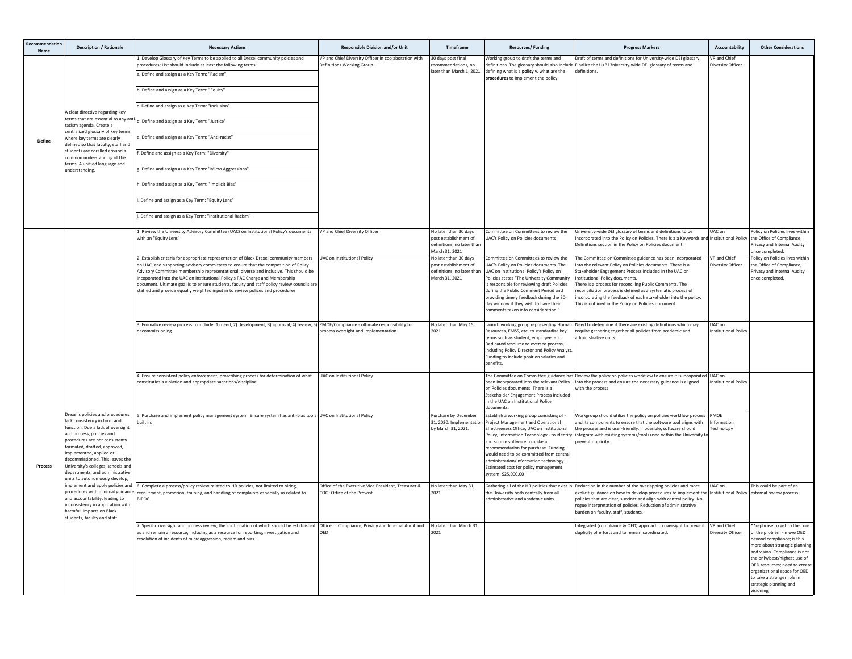| mmendatio<br>Name | <b>Description / Rationale</b>                                                                                                                                                                                                                                                                                                                                                                                                                                                                                                                                                          | <b>Necessary Actions</b>                                                                                                                                                                                                                                                                                                                                                                                                                                                                                                               | <b>Responsible Division and/or Unit</b>                                           | Timeframe                                                                                      | <b>Resources/Funding</b>                                                                                                                                                                                                                                                                                                                                                                                  | <b>Progress Markers</b>                                                                                                                                                                                                                                                                                                                                                                                                                                               | <b>Accountability</b>              | <b>Other Considerations</b>                                                                                                                                                                                                                                                                                                    |
|-------------------|-----------------------------------------------------------------------------------------------------------------------------------------------------------------------------------------------------------------------------------------------------------------------------------------------------------------------------------------------------------------------------------------------------------------------------------------------------------------------------------------------------------------------------------------------------------------------------------------|----------------------------------------------------------------------------------------------------------------------------------------------------------------------------------------------------------------------------------------------------------------------------------------------------------------------------------------------------------------------------------------------------------------------------------------------------------------------------------------------------------------------------------------|-----------------------------------------------------------------------------------|------------------------------------------------------------------------------------------------|-----------------------------------------------------------------------------------------------------------------------------------------------------------------------------------------------------------------------------------------------------------------------------------------------------------------------------------------------------------------------------------------------------------|-----------------------------------------------------------------------------------------------------------------------------------------------------------------------------------------------------------------------------------------------------------------------------------------------------------------------------------------------------------------------------------------------------------------------------------------------------------------------|------------------------------------|--------------------------------------------------------------------------------------------------------------------------------------------------------------------------------------------------------------------------------------------------------------------------------------------------------------------------------|
| Define            | A clear directive regarding key<br>terms that are essential to any a<br>racism agenda. Create a<br>centralized glossary of key terms<br>where key terms are clearly<br>defined so that faculty, staff and<br>students are coralled around a<br>common understanding of the<br>erms. A unified language and<br>understanding.                                                                                                                                                                                                                                                            | 1. Develop Glossary of Key Terms to be applied to all Drexel community polcies and<br>procedures; List should include at least the following terms:<br>a. Define and assign as a Key Term: "Racism"                                                                                                                                                                                                                                                                                                                                    | VP and Chief Diversity Officer in coolaboration with<br>Definitions Working Group | 30 days post final<br>ecommendations, no<br>ater than March 1, 2021                            | Working group to draft the terms and<br>definitions. The glossary should also include<br>defining what is a policy v. what are the                                                                                                                                                                                                                                                                        | Draft of terms and definitions for University-wide DEI glossary.<br>Finalize the U+B13niversity-wide DEI glossary of terms and<br>definitions                                                                                                                                                                                                                                                                                                                         | VP and Chief<br>Diversity Officer. |                                                                                                                                                                                                                                                                                                                                |
|                   |                                                                                                                                                                                                                                                                                                                                                                                                                                                                                                                                                                                         | b. Define and assign as a Key Term: "Equity"                                                                                                                                                                                                                                                                                                                                                                                                                                                                                           |                                                                                   |                                                                                                | procedures to implement the policy.                                                                                                                                                                                                                                                                                                                                                                       |                                                                                                                                                                                                                                                                                                                                                                                                                                                                       |                                    |                                                                                                                                                                                                                                                                                                                                |
|                   |                                                                                                                                                                                                                                                                                                                                                                                                                                                                                                                                                                                         | c. Define and assign as a Key Term: "Inclusion"                                                                                                                                                                                                                                                                                                                                                                                                                                                                                        |                                                                                   |                                                                                                |                                                                                                                                                                                                                                                                                                                                                                                                           |                                                                                                                                                                                                                                                                                                                                                                                                                                                                       |                                    |                                                                                                                                                                                                                                                                                                                                |
|                   |                                                                                                                                                                                                                                                                                                                                                                                                                                                                                                                                                                                         | d. Define and assign as a Key Term: "Justice"                                                                                                                                                                                                                                                                                                                                                                                                                                                                                          |                                                                                   |                                                                                                |                                                                                                                                                                                                                                                                                                                                                                                                           |                                                                                                                                                                                                                                                                                                                                                                                                                                                                       |                                    |                                                                                                                                                                                                                                                                                                                                |
|                   |                                                                                                                                                                                                                                                                                                                                                                                                                                                                                                                                                                                         | e. Define and assign as a Key Term: "Anti-racist"                                                                                                                                                                                                                                                                                                                                                                                                                                                                                      |                                                                                   |                                                                                                |                                                                                                                                                                                                                                                                                                                                                                                                           |                                                                                                                                                                                                                                                                                                                                                                                                                                                                       |                                    |                                                                                                                                                                                                                                                                                                                                |
|                   |                                                                                                                                                                                                                                                                                                                                                                                                                                                                                                                                                                                         | f. Define and assign as a Key Term: "Diversity"                                                                                                                                                                                                                                                                                                                                                                                                                                                                                        |                                                                                   |                                                                                                |                                                                                                                                                                                                                                                                                                                                                                                                           |                                                                                                                                                                                                                                                                                                                                                                                                                                                                       |                                    |                                                                                                                                                                                                                                                                                                                                |
|                   |                                                                                                                                                                                                                                                                                                                                                                                                                                                                                                                                                                                         | g. Define and assign as a Key Term: "Micro Aggressions"                                                                                                                                                                                                                                                                                                                                                                                                                                                                                |                                                                                   |                                                                                                |                                                                                                                                                                                                                                                                                                                                                                                                           |                                                                                                                                                                                                                                                                                                                                                                                                                                                                       |                                    |                                                                                                                                                                                                                                                                                                                                |
|                   |                                                                                                                                                                                                                                                                                                                                                                                                                                                                                                                                                                                         | h. Define and assign as a Key Term: "Implicit Bias"                                                                                                                                                                                                                                                                                                                                                                                                                                                                                    |                                                                                   |                                                                                                |                                                                                                                                                                                                                                                                                                                                                                                                           |                                                                                                                                                                                                                                                                                                                                                                                                                                                                       |                                    |                                                                                                                                                                                                                                                                                                                                |
|                   |                                                                                                                                                                                                                                                                                                                                                                                                                                                                                                                                                                                         | i. Define and assign as a Key Term: "Equity Lens"                                                                                                                                                                                                                                                                                                                                                                                                                                                                                      |                                                                                   |                                                                                                |                                                                                                                                                                                                                                                                                                                                                                                                           |                                                                                                                                                                                                                                                                                                                                                                                                                                                                       |                                    |                                                                                                                                                                                                                                                                                                                                |
|                   |                                                                                                                                                                                                                                                                                                                                                                                                                                                                                                                                                                                         | j. Define and assign as a Key Term: "Institutional Racism"                                                                                                                                                                                                                                                                                                                                                                                                                                                                             |                                                                                   |                                                                                                |                                                                                                                                                                                                                                                                                                                                                                                                           |                                                                                                                                                                                                                                                                                                                                                                                                                                                                       |                                    |                                                                                                                                                                                                                                                                                                                                |
|                   | Drexel's policies and procedures<br>lack consistency in form and<br>function. Due a lack of oversight<br>and process, policies and<br>procedures are not consistenty<br>formated, drafted, approved,<br>implemented, applied or<br>decommissioned. This leaves the<br>University's colleges, schools and<br>departments, and administrative<br>units to autonomously develop.<br>mplement and apply policies and<br>procedures with minimal guidance<br>and accountability, leading to<br>inconsistency in application with<br>harmful impacts on Black<br>students, faculty and staff. | Review the University Advisory Committee (UAC) on Institutional Policy's documents<br>with an "Equity Lens"                                                                                                                                                                                                                                                                                                                                                                                                                            | VP and Chief Diversity Officer                                                    | Volater than 30 days<br>oost establishment of<br>definitions, no later than<br>March 31, 2021  | ommittee on Committees to review the<br>JAC's Policy on Policies documents                                                                                                                                                                                                                                                                                                                                | Jniversity-wide DEI glossary of terms and definitions to be<br>ncorporated into the Policy on Policies. There is a a Keywords and Institutional Policy<br>Definitions section in the Policy on Policies document.                                                                                                                                                                                                                                                     | UAC on                             | olicy on Policies lives within<br>the Office of Compliance<br>rivacy and Internal Audity<br>nce completed.                                                                                                                                                                                                                     |
|                   |                                                                                                                                                                                                                                                                                                                                                                                                                                                                                                                                                                                         | 2. Establish criteria for appropriate representation of Black Drexel community members<br>n UAC, and supporting advisory committees to ensure that the composition of Policy<br>Advisory Committee membership representational, diverse and inclusive. This should be<br>incoporated into the UAC on Institutional Policy's PAC Charge and Membership<br>document. Ultimate goal is to ensure students, faculty and staff policy review councils are<br>staffed and provide equally weighted input in to review polices and procedures | <b>UAC on Institutional Policy</b>                                                | No later than 30 days<br>oost establishment of<br>definitions, no later than<br>March 31, 2021 | Committee on Committees to review the<br>UAC's Policy on Policies documents. The<br>UAC on Institutional Policy's Policy on<br>Policies states "The University Community<br>is responsible for reviewing draft Policies<br>during the Public Comment Period and<br>providing timely feedback during the 30-<br>day window if they wish to have their<br>omments taken into consideration."                | The Committee on Committee guidance has been incorporated<br>nto the relevant Policy on Policies documents. There is a<br>Stakeholder Engagement Process included in the UAC on<br>nstitutional Policy documents.<br>There is a process for reconciling Public Comments. The<br>econciliation process is defined as a systematic process of<br>ncorporating the feedback of each stakeholder into the policy.<br>This is outlined in the Policy on Policies document. | VP and Chief<br>liversity Officer  | Policy on Policies lives within<br>the Office of Compliance,<br>Privacy and Internal Audity<br>once completed.                                                                                                                                                                                                                 |
| Process           |                                                                                                                                                                                                                                                                                                                                                                                                                                                                                                                                                                                         | 3. Formalize review process to include: 1) need, 2) development, 3) approval, 4) review, 5) PMOE/Compliance - ultimate responsibility for<br>ecommissioning.                                                                                                                                                                                                                                                                                                                                                                           | process oversight and implementation                                              | No later than May 15,<br>2021                                                                  | Launch working group representing Human<br>Resources, EMSS, etc. to standardize key<br>terms such as student, employee, etc.<br>Dedicated resource to oversee process,<br>including Policy Director and Policy Analyst<br>Funding to include position salaries and<br>henefits.                                                                                                                           | Need to determine if there are existing definitions which may<br>require gathering together all policies from academic and<br>administrative units.                                                                                                                                                                                                                                                                                                                   | UAC on<br>nstitutional Policy      |                                                                                                                                                                                                                                                                                                                                |
|                   |                                                                                                                                                                                                                                                                                                                                                                                                                                                                                                                                                                                         | 4. Ensure consistent policy enforcement, proscribing process for determination of what<br>constituties a violation and appropriate sacntions/discipline.                                                                                                                                                                                                                                                                                                                                                                               | <b>UAC on Institutional Policy</b>                                                |                                                                                                | been incorporated into the relevant Policy<br>on Policies documents. There is a<br>Stakeholder Engagement Process included<br>in the UAC on Institutional Policy<br>documents.                                                                                                                                                                                                                            | The Committee on Committee guidance has Review the policy on policies workflow to ensure it is incoporated UAC on<br>into the process and ensure the necessary guidance is aligned<br>vith the process                                                                                                                                                                                                                                                                | <b>Institutional Policy</b>        |                                                                                                                                                                                                                                                                                                                                |
|                   |                                                                                                                                                                                                                                                                                                                                                                                                                                                                                                                                                                                         | 5. Purchase and implement policy management system. Ensure system has anti-bias tools UAC on Institutional Policy<br>uilt in.                                                                                                                                                                                                                                                                                                                                                                                                          |                                                                                   | Purchase by December<br>31, 2020. Implementatio<br>by March 31, 2021.                          | Establish a working group consisting of -<br>Project Management and Operational<br>Effectiveness Office, UAC on Institutional<br>Policy, Information Technology - to identify<br>and source software to make a<br>ecommendation for purchase. Funding<br>would need to be committed from central<br>administration/information technology.<br>Estimated cost for policy management<br>system: \$25,000.00 | Workgroup should utilize the policy on policies workflow process PMOE<br>nd its components to ensure that the software tool aligns with<br>the process and is user-friendly. If possible, software should<br>integrate with existing systems/tools used within the University to<br>revent duplicity.                                                                                                                                                                 | formation<br>echnology             |                                                                                                                                                                                                                                                                                                                                |
|                   |                                                                                                                                                                                                                                                                                                                                                                                                                                                                                                                                                                                         | 6. Complete a process/policy review related to HR policies, not limited to hiring,<br>recruitment, promotion, training, and handling of complaints especially as related to<br>BIPOC.                                                                                                                                                                                                                                                                                                                                                  | Office of the Executive Vice President, Treasurer &<br>COO: Office of the Provost | No later than May 31,<br>2021                                                                  | Gathering all of the HR policies that exist in<br>the University both centrally from all<br>administrative and academic units.                                                                                                                                                                                                                                                                            | Reduction in the number of the overlapping policies and more<br>explicit guidance on how to develop procedures to implement th<br>policies that are clear, succinct and align with central policy. No<br>ogue interpretation of policies. Reduction of administrative<br>urden on faculty, staff, students.                                                                                                                                                           | UAC on<br>Institutional Policy     | This could be part of an<br>xternal review process                                                                                                                                                                                                                                                                             |
|                   |                                                                                                                                                                                                                                                                                                                                                                                                                                                                                                                                                                                         | 7. Specific oversight and process review, the continuation of which should be established Office of Compliance, Privacy and Internal Audit and<br>as and remain a resource, including as a resource for reporting, investigation and<br>resolution of incidents of microaggression, racism and bias.                                                                                                                                                                                                                                   | OED                                                                               | No later than March 31.<br>2021                                                                |                                                                                                                                                                                                                                                                                                                                                                                                           | ntegrated (compliance & OED) approach to oversight to prevent VP and Chief<br>duplicity of efforts and to remain coordinated.                                                                                                                                                                                                                                                                                                                                         | Diversity Officer                  | *rephrase to get to the core<br>of the problem - move OED<br>bevond compliance: is this<br>nore about strategic planning<br>and vision Compliance is not<br>the only/best/highest use of<br>OED resources: need to create<br>organizational space for OED<br>to take a stronger role in<br>strategic planning and<br>visioning |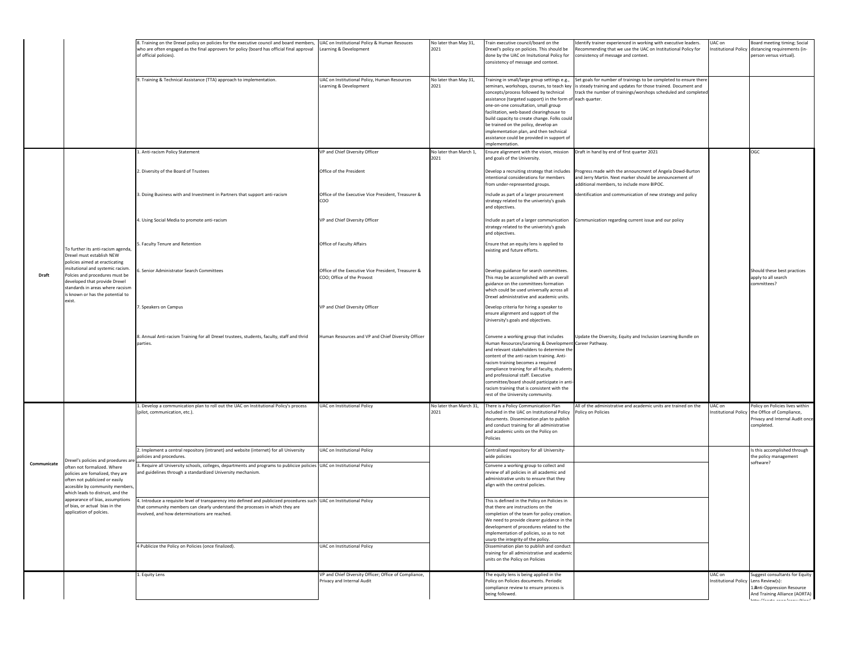|             |                                                                                                                                                                                                                                                                                                           | 8. Training on the Drexel policy on policies for the executive council and board members,<br>who are often engaged as the final approvers for policy (board has official final approval<br>of official policies).                                        | UAC on Institutional Policy & Human Resouces<br>Learning & Development             | Vo later than May 31,<br>2021 | Train executive council/board on the<br>Drexel's policy on policies. This should be<br>done by the UAC on Insitutional Policy for<br>consistency of message and context.                                                                                                                                                                                                                                                                                                              | dentify trainer experienced in working with executive leaders.<br>tecommending that we use the UAC on Institutional Policy for<br>consistency of message and context.                                 | UAC on<br>nstitutional Policy  | Board meeting timing; Social<br>distancing requirements (in-<br>person versus virtual).                          |
|-------------|-----------------------------------------------------------------------------------------------------------------------------------------------------------------------------------------------------------------------------------------------------------------------------------------------------------|----------------------------------------------------------------------------------------------------------------------------------------------------------------------------------------------------------------------------------------------------------|------------------------------------------------------------------------------------|-------------------------------|---------------------------------------------------------------------------------------------------------------------------------------------------------------------------------------------------------------------------------------------------------------------------------------------------------------------------------------------------------------------------------------------------------------------------------------------------------------------------------------|-------------------------------------------------------------------------------------------------------------------------------------------------------------------------------------------------------|--------------------------------|------------------------------------------------------------------------------------------------------------------|
|             |                                                                                                                                                                                                                                                                                                           | 9. Training & Technical Assistance (TTA) approach to implementation.                                                                                                                                                                                     | UAC on Institutional Policy, Human Resources<br>earning & Development              | No later than May 31,<br>2021 | Training in small/large group settings e.g.,<br>eminars, workshops, courses, to teach key<br>concepts/process followed by technical<br>assistance (targeted support) in the form of each quarter.<br>one-on-one consultation, small group<br>acilitation, web-based clearinghouse to<br>build capacity to create change. Folks could<br>be trained on the policy, develop an<br>mplementation plan, and then technical<br>assistance could be provided in support of<br>molementation | Set goals for number of trainings to be completed to ensure there<br>is steady training and updates for those trained. Document and<br>track the number of trainings/worshops scheduled and completed |                                |                                                                                                                  |
|             |                                                                                                                                                                                                                                                                                                           | Anti-racism Policy Statement                                                                                                                                                                                                                             | VP and Chief Diversity Officer                                                     | No later than March 1,        | Ensure alignment with the vision, mission                                                                                                                                                                                                                                                                                                                                                                                                                                             | Draft in hand by end of first quarter 2021                                                                                                                                                            |                                | CGC                                                                                                              |
|             |                                                                                                                                                                                                                                                                                                           | 2. Diversity of the Board of Trustees                                                                                                                                                                                                                    | Office of the President                                                            | 2021                          | and goals of the University.<br>Develop a recruiting strategy that includes<br>intentional considerations for members<br>from under-represented groups.                                                                                                                                                                                                                                                                                                                               | Progress made with the announcment of Angela Dowd-Burton<br>and Jerry Martin. Next marker should be announcement of<br>additional members, to include more BIPOC.                                     |                                |                                                                                                                  |
|             | To further its anti-racism agenda,<br>Drexel must establish NEW<br>policies aimed at eracticating<br>insitutional and systemic racism.<br>Polcies and procedures must be<br>developed that provide Drexel<br>standards in areas where racsism<br>is known or has the potential to<br>exist.               | 3. Doing Business with and Investment in Partners that support anti-racism                                                                                                                                                                               | Office of the Executive Vice President, Treasurer &<br>COO                         |                               | Include as part of a larger procurement<br>strategy related to the univeristy's goals<br>and objectives.                                                                                                                                                                                                                                                                                                                                                                              | dentification and communication of new strategy and policy                                                                                                                                            |                                |                                                                                                                  |
|             |                                                                                                                                                                                                                                                                                                           | 4. Using Social Media to promote anti-racism                                                                                                                                                                                                             | VP and Chief Diversity Officer                                                     |                               | Include as part of a larger communication<br>strategy related to the univeristy's goals<br>and objectives.                                                                                                                                                                                                                                                                                                                                                                            | Communication regarding current issue and our policy                                                                                                                                                  |                                |                                                                                                                  |
| Draft       |                                                                                                                                                                                                                                                                                                           | 5. Faculty Tenure and Retention                                                                                                                                                                                                                          | Office of Faculty Affairs                                                          |                               | Ensure that an equity lens is applied to<br>existing and future efforts.                                                                                                                                                                                                                                                                                                                                                                                                              |                                                                                                                                                                                                       |                                |                                                                                                                  |
|             |                                                                                                                                                                                                                                                                                                           | 6. Senior Administrator Search Committees                                                                                                                                                                                                                | Office of the Executive Vice President, Treasurer &<br>COO; Office of the Provost  |                               | Develop guidance for search committees.<br>This may be accomplished with an overall<br>guidance on the committees formation<br>which could be used universally across all<br>Drexel administrative and academic units.                                                                                                                                                                                                                                                                |                                                                                                                                                                                                       |                                | Should these best practices<br>apply to all search<br>committees?                                                |
|             |                                                                                                                                                                                                                                                                                                           | 7. Speakers on Campus                                                                                                                                                                                                                                    | VP and Chief Diversity Officer                                                     |                               | Develop criteria for hiring a speaker to<br>ensure alignment and support of the<br>University's goals and objectives.                                                                                                                                                                                                                                                                                                                                                                 |                                                                                                                                                                                                       |                                |                                                                                                                  |
|             |                                                                                                                                                                                                                                                                                                           | 8. Annual Anti-racism Training for all Drexel trustees, students, faculty, staff and thrid<br>parties.                                                                                                                                                   | Human Resources and VP and Chief Diversity Officer                                 |                               | Convene a working group that includes<br>Human Resources/Learning & Development Career Pathway.<br>and relevant stakeholders to determine the<br>content of the anti-racism training. Anti-<br>racism training becomes a required<br>compliance training for all faculty, students<br>and professional staff. Executive<br>ommittee/board should participate in anti-<br>racism training that is consistent with the<br>rest of the University community.                             | Update the Diversity, Equity and Inclusion Learning Bundle on                                                                                                                                         |                                |                                                                                                                  |
|             |                                                                                                                                                                                                                                                                                                           | . Develop a communication plan to roll out the UAC on Institutional Policy's process                                                                                                                                                                     | UAC on Institutional Policy                                                        | Vo later than March 31,       | There is a Policy Communication Plan                                                                                                                                                                                                                                                                                                                                                                                                                                                  | All of the administrative and academic units are trained on the                                                                                                                                       | UAC on                         | olicy on Policies lives within                                                                                   |
|             |                                                                                                                                                                                                                                                                                                           | pilot, communication, etc.)                                                                                                                                                                                                                              |                                                                                    | 2021                          | ncluded in the UAC on Institutional Policy<br>documents. Dissemination plan to publish<br>and conduct training for all administrative<br>and academic units on the Policy on<br>olicies                                                                                                                                                                                                                                                                                               | Policy on Policies                                                                                                                                                                                    | stitutional Policy             | the Office of Compliance,<br>Privacy and Internal Audit once<br>completed.                                       |
|             |                                                                                                                                                                                                                                                                                                           | 2. Implement a central repository (intranet) and website (internet) for all University<br>policies and procedures.                                                                                                                                       | UAC on Institutional Policy                                                        |                               | Centralized repository for all University-<br>vide policies                                                                                                                                                                                                                                                                                                                                                                                                                           |                                                                                                                                                                                                       |                                | Is this accomplished through<br>the policy management                                                            |
| Communicate | Drexel's policies and proedures ar<br>often not formalized. Where<br>olicies are fomalized, they are<br>ften not publicized or easily<br>ccesible by community members<br>which leads to distrust, and the<br>ppearance of bias, assumptions<br>of bias, or actual bias in the<br>application of polcies. | . Require all University schools, colleges, departments and programs to publicize policies UAC on Institutional Policy<br>and guidelines through a standardized University mechanism.                                                                    |                                                                                    |                               | Convene a working group to collect and<br>review of all policies in all academic and<br>dministrative units to ensure that they<br>align with the central policies.                                                                                                                                                                                                                                                                                                                   |                                                                                                                                                                                                       |                                | software?                                                                                                        |
|             |                                                                                                                                                                                                                                                                                                           | 4. Introduce a requisite level of transparency into defined and publicized procedures such UAC on Institutional Policy<br>that community members can clearly understand the processes in which they are<br>involved, and how determinations are reached. |                                                                                    |                               | This is defined in the Policy on Policies in<br>that there are instructions on the<br>completion of the team for policy creation.<br>We need to provide clearer guidance in the<br>development of procedures related to the<br>implementation of policies, so as to not<br>usurp the integrity of the policy.                                                                                                                                                                         |                                                                                                                                                                                                       |                                |                                                                                                                  |
|             |                                                                                                                                                                                                                                                                                                           | 4 Publicize the Policy on Policies (once finalized).                                                                                                                                                                                                     | <b>UAC on Institutional Policy</b>                                                 |                               | Dissemination plan to publish and conduct<br>training for all administrative and academi<br>units on the Policy on Policies                                                                                                                                                                                                                                                                                                                                                           |                                                                                                                                                                                                       |                                |                                                                                                                  |
|             |                                                                                                                                                                                                                                                                                                           | L. Equity Lens                                                                                                                                                                                                                                           | VP and Chief Diversity Officer; Office of Compliance,<br>rivacy and Internal Audit |                               | The equity lens is being applied in the<br>Policy on Policies documents. Periodic<br>compliance review to ensure process is<br>being followed.                                                                                                                                                                                                                                                                                                                                        |                                                                                                                                                                                                       | UAC on<br>Institutional Policy | Suggest consultants for Equity<br>Lens Review(s):<br>1.Anti-Oppression Resource<br>And Training Alliance (AORTA) |